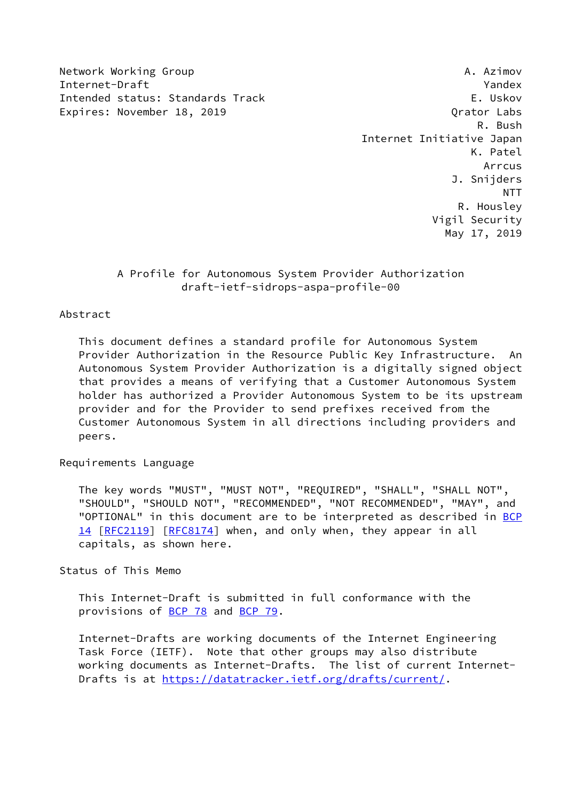Network Working Group **A. Azimov** A. Azimov Internet-Draft Yandex Intended status: Standards Track E. Uskov Expires: November 18, 2019 Channel Communication of the United States Communication of the United States Communication of the United States Communication of the United States Communication of the United States Communicatio

 R. Bush Internet Initiative Japan K. Patel **Arrcus And Arrcus**  J. Snijders NTT R. Housley Vigil Security May 17, 2019

# A Profile for Autonomous System Provider Authorization draft-ietf-sidrops-aspa-profile-00

## Abstract

 This document defines a standard profile for Autonomous System Provider Authorization in the Resource Public Key Infrastructure. An Autonomous System Provider Authorization is a digitally signed object that provides a means of verifying that a Customer Autonomous System holder has authorized a Provider Autonomous System to be its upstream provider and for the Provider to send prefixes received from the Customer Autonomous System in all directions including providers and peers.

#### Requirements Language

 The key words "MUST", "MUST NOT", "REQUIRED", "SHALL", "SHALL NOT", "SHOULD", "SHOULD NOT", "RECOMMENDED", "NOT RECOMMENDED", "MAY", and "OPTIONAL" in this document are to be interpreted as described in [BCP](https://datatracker.ietf.org/doc/pdf/bcp14) [14](https://datatracker.ietf.org/doc/pdf/bcp14) [[RFC2119\]](https://datatracker.ietf.org/doc/pdf/rfc2119) [\[RFC8174](https://datatracker.ietf.org/doc/pdf/rfc8174)] when, and only when, they appear in all capitals, as shown here.

#### Status of This Memo

 This Internet-Draft is submitted in full conformance with the provisions of [BCP 78](https://datatracker.ietf.org/doc/pdf/bcp78) and [BCP 79](https://datatracker.ietf.org/doc/pdf/bcp79).

 Internet-Drafts are working documents of the Internet Engineering Task Force (IETF). Note that other groups may also distribute working documents as Internet-Drafts. The list of current Internet- Drafts is at<https://datatracker.ietf.org/drafts/current/>.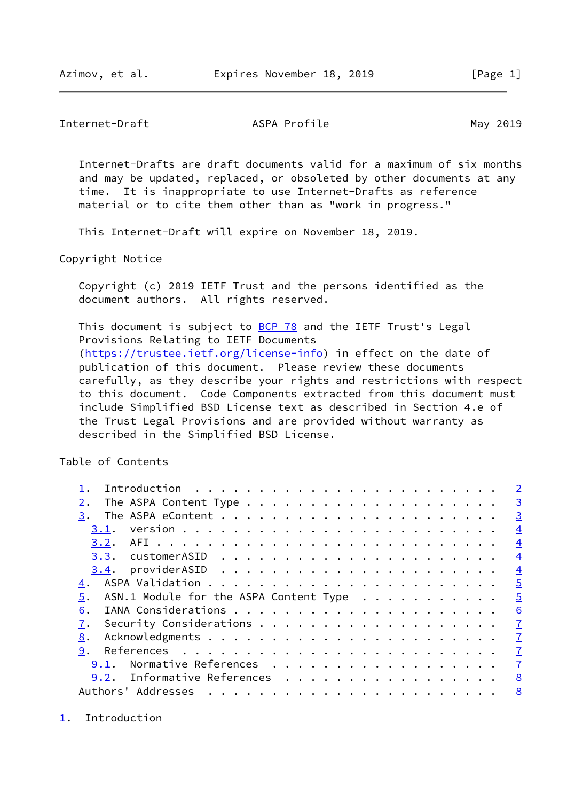#### <span id="page-1-1"></span>Internet-Draft ASPA Profile May 2019

Internet-Drafts are draft documents valid for a maximum of six months

 and may be updated, replaced, or obsoleted by other documents at any time. It is inappropriate to use Internet-Drafts as reference material or to cite them other than as "work in progress."

This Internet-Draft will expire on November 18, 2019.

Copyright Notice

 Copyright (c) 2019 IETF Trust and the persons identified as the document authors. All rights reserved.

This document is subject to [BCP 78](https://datatracker.ietf.org/doc/pdf/bcp78) and the IETF Trust's Legal Provisions Relating to IETF Documents [\(https://trustee.ietf.org/license-info](https://trustee.ietf.org/license-info)) in effect on the date of publication of this document. Please review these documents carefully, as they describe your rights and restrictions with respect to this document. Code Components extracted from this document must include Simplified BSD License text as described in Section 4.e of the Trust Legal Provisions and are provided without warranty as described in the Simplified BSD License.

Table of Contents

|                                                                                                                                                                                                                                                     | $\overline{2}$ |
|-----------------------------------------------------------------------------------------------------------------------------------------------------------------------------------------------------------------------------------------------------|----------------|
| 2.                                                                                                                                                                                                                                                  | $\overline{3}$ |
| 3.                                                                                                                                                                                                                                                  | $\overline{3}$ |
| 3.1.                                                                                                                                                                                                                                                | $\overline{4}$ |
| 3.2.                                                                                                                                                                                                                                                | $\overline{4}$ |
|                                                                                                                                                                                                                                                     | $\overline{4}$ |
| 3.4.                                                                                                                                                                                                                                                | $\overline{4}$ |
| 4.                                                                                                                                                                                                                                                  | $\overline{5}$ |
| ASN.1 Module for the ASPA Content Type<br>5.                                                                                                                                                                                                        | $\overline{5}$ |
| 6.                                                                                                                                                                                                                                                  | 6              |
|                                                                                                                                                                                                                                                     | $\overline{1}$ |
| 8.                                                                                                                                                                                                                                                  | $\mathbf{I}$   |
| 9.                                                                                                                                                                                                                                                  | $\mathbf{Z}$   |
| Normative References<br>9.1.                                                                                                                                                                                                                        | $\mathbf{Z}$   |
| Informative References<br>9.2.                                                                                                                                                                                                                      | 8              |
| Authors' Addresses<br>. The contract of the contract of the contract of the contract of the contract of the contract of the contract of the contract of the contract of the contract of the contract of the contract of the contract of the contrac | 8              |

<span id="page-1-0"></span>[1](#page-1-0). Introduction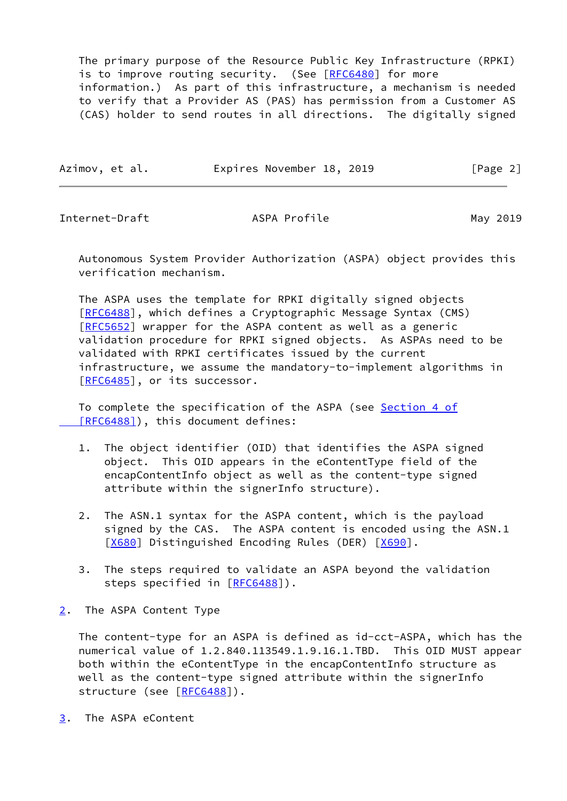The primary purpose of the Resource Public Key Infrastructure (RPKI) is to improve routing security. (See [[RFC6480](https://datatracker.ietf.org/doc/pdf/rfc6480)] for more information.) As part of this infrastructure, a mechanism is needed to verify that a Provider AS (PAS) has permission from a Customer AS (CAS) holder to send routes in all directions. The digitally signed

| Azimov, et al. | Expires November 18, 2019 | [Page 2] |
|----------------|---------------------------|----------|
|                |                           |          |

<span id="page-2-1"></span>Internet-Draft ASPA Profile May 2019

 Autonomous System Provider Authorization (ASPA) object provides this verification mechanism.

 The ASPA uses the template for RPKI digitally signed objects [\[RFC6488](https://datatracker.ietf.org/doc/pdf/rfc6488)], which defines a Cryptographic Message Syntax (CMS) [\[RFC5652](https://datatracker.ietf.org/doc/pdf/rfc5652)] wrapper for the ASPA content as well as a generic validation procedure for RPKI signed objects. As ASPAs need to be validated with RPKI certificates issued by the current infrastructure, we assume the mandatory-to-implement algorithms in [\[RFC6485](https://datatracker.ietf.org/doc/pdf/rfc6485)], or its successor.

 To complete the specification of the ASPA (see [Section](https://datatracker.ietf.org/doc/pdf/rfc6488#section-4) 4 of  [\[RFC6488\]](https://datatracker.ietf.org/doc/pdf/rfc6488#section-4)), this document defines:

- 1. The object identifier (OID) that identifies the ASPA signed object. This OID appears in the eContentType field of the encapContentInfo object as well as the content-type signed attribute within the signerInfo structure).
- 2. The ASN.1 syntax for the ASPA content, which is the payload signed by the CAS. The ASPA content is encoded using the ASN.1 [\[X680](#page-8-1)] Distinguished Encoding Rules (DER) [[X690\]](#page-8-2).
- 3. The steps required to validate an ASPA beyond the validation steps specified in [\[RFC6488](https://datatracker.ietf.org/doc/pdf/rfc6488)]).
- <span id="page-2-0"></span>[2](#page-2-0). The ASPA Content Type

 The content-type for an ASPA is defined as id-cct-ASPA, which has the numerical value of 1.2.840.113549.1.9.16.1.TBD. This OID MUST appear both within the eContentType in the encapContentInfo structure as well as the content-type signed attribute within the signerInfo structure (see [\[RFC6488](https://datatracker.ietf.org/doc/pdf/rfc6488)]).

<span id="page-2-2"></span>[3](#page-2-2). The ASPA eContent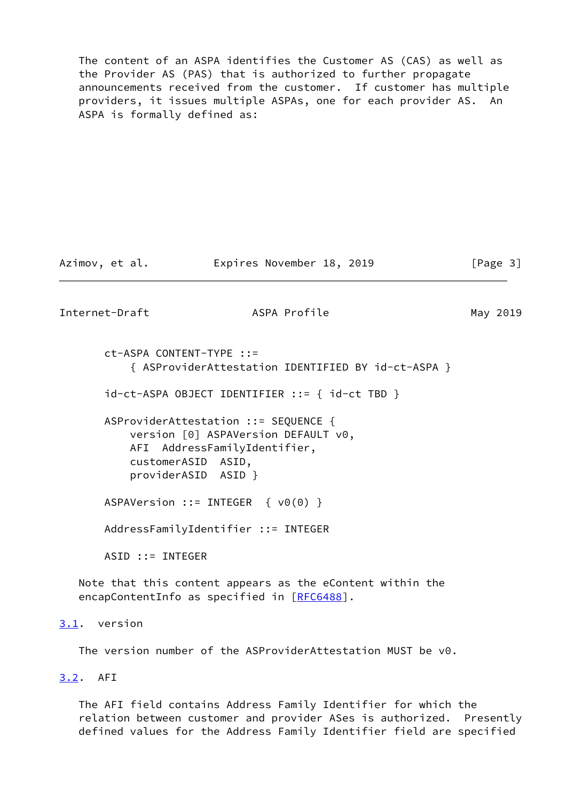The content of an ASPA identifies the Customer AS (CAS) as well as the Provider AS (PAS) that is authorized to further propagate announcements received from the customer. If customer has multiple providers, it issues multiple ASPAs, one for each provider AS. An ASPA is formally defined as:

Azimov, et al. Expires November 18, 2019 [Page 3]

<span id="page-3-1"></span>Internet-Draft ASPA Profile May 2019

 ct-ASPA CONTENT-TYPE ::= { ASProviderAttestation IDENTIFIED BY id-ct-ASPA }

id-ct-ASPA OBJECT IDENTIFIER ::= { id-ct TBD }

 ASProviderAttestation ::= SEQUENCE { version [0] ASPAVersion DEFAULT v0, AFI AddressFamilyIdentifier, customerASID ASID, providerASID ASID }

ASPAVersion ::= INTEGER { v0(0) }

AddressFamilyIdentifier ::= INTEGER

ASID ::= INTEGER

 Note that this content appears as the eContent within the encapContentInfo as specified in [\[RFC6488](https://datatracker.ietf.org/doc/pdf/rfc6488)].

<span id="page-3-0"></span>[3.1](#page-3-0). version

The version number of the ASProviderAttestation MUST be v0.

<span id="page-3-2"></span>[3.2](#page-3-2). AFI

 The AFI field contains Address Family Identifier for which the relation between customer and provider ASes is authorized. Presently defined values for the Address Family Identifier field are specified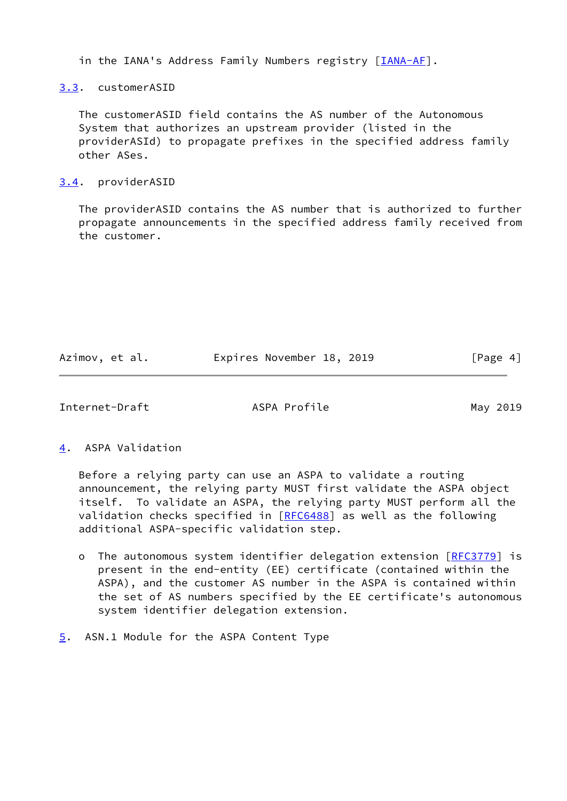in the IANA's Address Family Numbers registry [[IANA-AF](#page-7-5)].

<span id="page-4-0"></span>[3.3](#page-4-0). customerASID

 The customerASID field contains the AS number of the Autonomous System that authorizes an upstream provider (listed in the providerASId) to propagate prefixes in the specified address family other ASes.

## <span id="page-4-1"></span>[3.4](#page-4-1). providerASID

 The providerASID contains the AS number that is authorized to further propagate announcements in the specified address family received from the customer.

| Azimov, et al. | Expires November 18, 2019 | [Page 4] |
|----------------|---------------------------|----------|
|                |                           |          |

<span id="page-4-3"></span>Internet-Draft ASPA Profile May 2019

<span id="page-4-2"></span>[4](#page-4-2). ASPA Validation

 Before a relying party can use an ASPA to validate a routing announcement, the relying party MUST first validate the ASPA object itself. To validate an ASPA, the relying party MUST perform all the validation checks specified in [\[RFC6488](https://datatracker.ietf.org/doc/pdf/rfc6488)] as well as the following additional ASPA-specific validation step.

- o The autonomous system identifier delegation extension [\[RFC3779](https://datatracker.ietf.org/doc/pdf/rfc3779)] is present in the end-entity (EE) certificate (contained within the ASPA), and the customer AS number in the ASPA is contained within the set of AS numbers specified by the EE certificate's autonomous system identifier delegation extension.
- <span id="page-4-4"></span>[5](#page-4-4). ASN.1 Module for the ASPA Content Type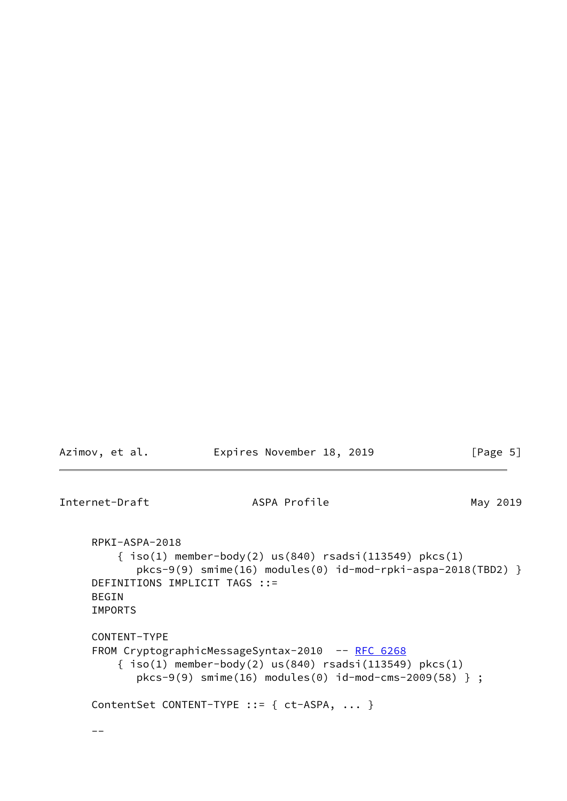```
Internet-Draft May 2019 ASPA Profile May 2019
     RPKI-ASPA-2018
         { iso(1) member-body(2) us(840) rsadsi(113549) pkcs(1)
            pkcs-9(9) smime(16) modules(0) id-mod-rpki-aspa-2018(TBD2) }
     DEFINITIONS IMPLICIT TAGS ::=
     BEGIN
     IMPORTS
     CONTENT-TYPE
    RFC 6268
        \{ \text{iso}(1) \text{ member-body}(2) \text{us}(840) \text{ rsadsi}(113549) \text{ pkcs}(1) \} pkcs-9(9) smime(16) modules(0) id-mod-cms-2009(58) } ;
     ContentSet CONTENT-TYPE ::= { ct-ASPA, ... }
    --
```
Azimov, et al. **Expires November 18, 2019** [Page 5]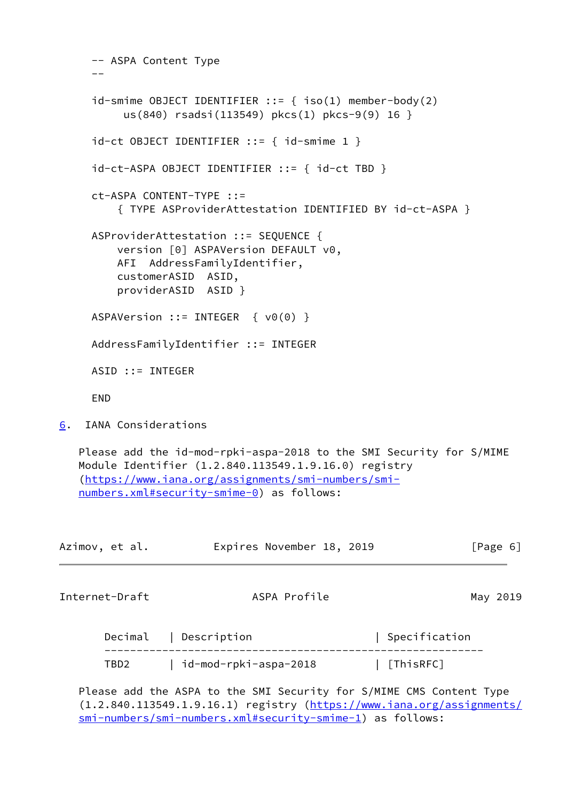```
 -- ASPA Content Type
     - - id-smime OBJECT IDENTIFIER ::= { iso(1) member-body(2)
          us(840) rsadsi(113549) pkcs(1) pkcs-9(9) 16 }
    id-ct OBJECT IDENTIFIER ::= { id-smime 1 }
     id-ct-ASPA OBJECT IDENTIFIER ::= { id-ct TBD }
     ct-ASPA CONTENT-TYPE ::=
         { TYPE ASProviderAttestation IDENTIFIED BY id-ct-ASPA }
     ASProviderAttestation ::= SEQUENCE {
         version [0] ASPAVersion DEFAULT v0,
         AFI AddressFamilyIdentifier,
         customerASID ASID,
         providerASID ASID }
     ASPAVersion ::= INTEGER { v0(0) }
     AddressFamilyIdentifier ::= INTEGER
     ASID ::= INTEGER
     END
6. IANA Considerations
   Please add the id-mod-rpki-aspa-2018 to the SMI Security for S/MIME
   Module Identifier (1.2.840.113549.1.9.16.0) registry
    (https://www.iana.org/assignments/smi-numbers/smi-
   numbers.xml#security-smime-0) as follows:
Azimov, et al.               Expires November 18, 2019                 [Page 6]
Internet-Draft ASPA Profile May 2019
       Decimal | Description | Specification
```
<span id="page-6-1"></span><span id="page-6-0"></span>

|      | Decimal pescription   | spectrication. |
|------|-----------------------|----------------|
| TBD2 | id-mod-rpki-aspa-2018 | [ThisRFC]      |

 Please add the ASPA to the SMI Security for S/MIME CMS Content Type (1.2.840.113549.1.9.16.1) registry ([https://www.iana.org/assignments/](https://www.iana.org/assignments/smi-numbers/smi-numbers.xml#security-smime-1) [smi-numbers/smi-numbers.xml#security-smime-1](https://www.iana.org/assignments/smi-numbers/smi-numbers.xml#security-smime-1)) as follows: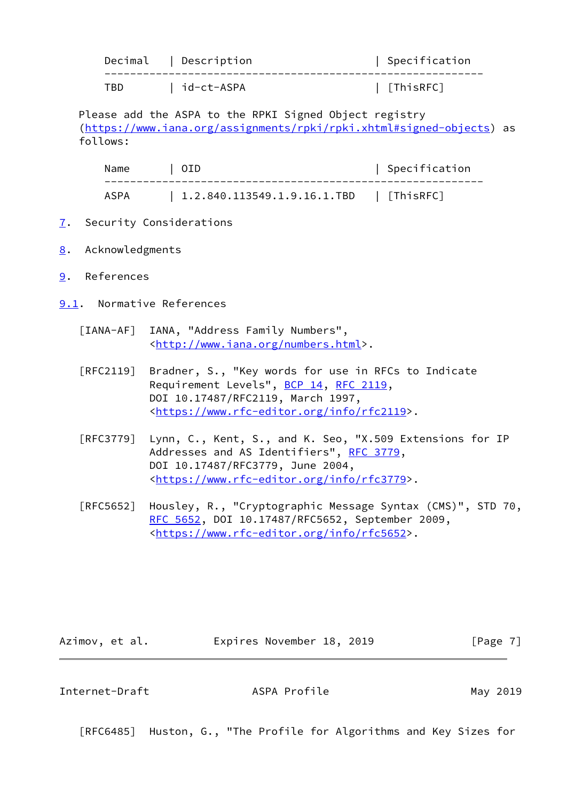|     | Decimal   Description | Specification |
|-----|-----------------------|---------------|
| TBD | id-ct-ASPA            | [ThisRFC]     |

 Please add the ASPA to the RPKI Signed Object registry [\(https://www.iana.org/assignments/rpki/rpki.xhtml#signed-objects](https://www.iana.org/assignments/rpki/rpki.xhtml#signed-objects)) as follows:

| Name | I OID                                   | Specification |
|------|-----------------------------------------|---------------|
| ASPA | 1.2.840.113549.1.9.16.1.TBD   [ThisRFC] |               |

- <span id="page-7-0"></span>[7](#page-7-0). Security Considerations
- <span id="page-7-1"></span>[8](#page-7-1). Acknowledgments
- <span id="page-7-2"></span>[9](#page-7-2). References
- <span id="page-7-5"></span><span id="page-7-3"></span>[9.1](#page-7-3). Normative References
	- [IANA-AF] IANA, "Address Family Numbers", <[http://www.iana.org/numbers.html>](http://www.iana.org/numbers.html).
	- [RFC2119] Bradner, S., "Key words for use in RFCs to Indicate Requirement Levels", [BCP 14](https://datatracker.ietf.org/doc/pdf/bcp14), [RFC 2119](https://datatracker.ietf.org/doc/pdf/rfc2119), DOI 10.17487/RFC2119, March 1997, <[https://www.rfc-editor.org/info/rfc2119>](https://www.rfc-editor.org/info/rfc2119).
	- [RFC3779] Lynn, C., Kent, S., and K. Seo, "X.509 Extensions for IP Addresses and AS Identifiers", [RFC 3779](https://datatracker.ietf.org/doc/pdf/rfc3779), DOI 10.17487/RFC3779, June 2004, <[https://www.rfc-editor.org/info/rfc3779>](https://www.rfc-editor.org/info/rfc3779).
	- [RFC5652] Housley, R., "Cryptographic Message Syntax (CMS)", STD 70, [RFC 5652,](https://datatracker.ietf.org/doc/pdf/rfc5652) DOI 10.17487/RFC5652, September 2009, <[https://www.rfc-editor.org/info/rfc5652>](https://www.rfc-editor.org/info/rfc5652).

Azimov, et al. **Expires November 18, 2019** [Page 7]

<span id="page-7-4"></span>Internet-Draft ASPA Profile May 2019

[RFC6485] Huston, G., "The Profile for Algorithms and Key Sizes for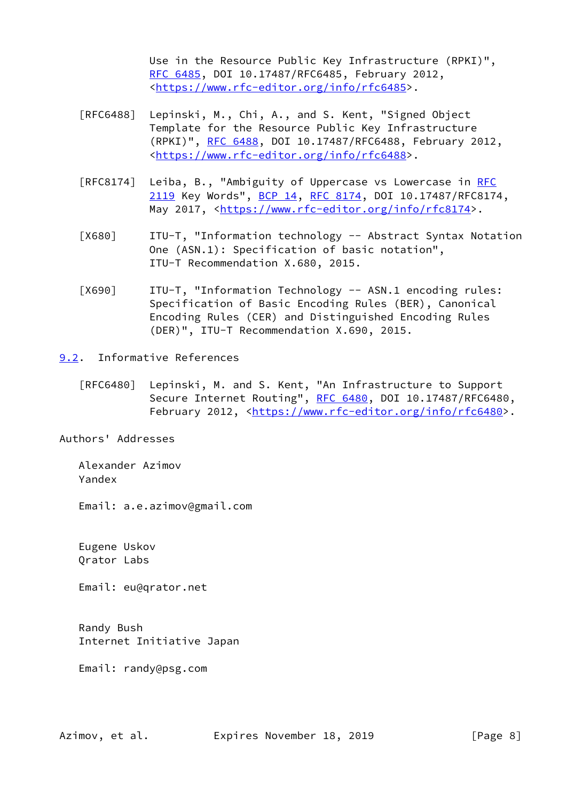Use in the Resource Public Key Infrastructure (RPKI)", [RFC 6485,](https://datatracker.ietf.org/doc/pdf/rfc6485) DOI 10.17487/RFC6485, February 2012, <[https://www.rfc-editor.org/info/rfc6485>](https://www.rfc-editor.org/info/rfc6485).

- [RFC6488] Lepinski, M., Chi, A., and S. Kent, "Signed Object Template for the Resource Public Key Infrastructure (RPKI)", [RFC 6488,](https://datatracker.ietf.org/doc/pdf/rfc6488) DOI 10.17487/RFC6488, February 2012, <[https://www.rfc-editor.org/info/rfc6488>](https://www.rfc-editor.org/info/rfc6488).
- [RFC8174] Leiba, B., "Ambiguity of Uppercase vs Lowercase in [RFC](https://datatracker.ietf.org/doc/pdf/rfc2119) [2119](https://datatracker.ietf.org/doc/pdf/rfc2119) Key Words", [BCP 14](https://datatracker.ietf.org/doc/pdf/bcp14), [RFC 8174,](https://datatracker.ietf.org/doc/pdf/rfc8174) DOI 10.17487/RFC8174, May 2017, [<https://www.rfc-editor.org/info/rfc8174](https://www.rfc-editor.org/info/rfc8174)>.
- <span id="page-8-1"></span> [X680] ITU-T, "Information technology -- Abstract Syntax Notation One (ASN.1): Specification of basic notation", ITU-T Recommendation X.680, 2015.
- <span id="page-8-2"></span> [X690] ITU-T, "Information Technology -- ASN.1 encoding rules: Specification of Basic Encoding Rules (BER), Canonical Encoding Rules (CER) and Distinguished Encoding Rules (DER)", ITU-T Recommendation X.690, 2015.
- <span id="page-8-0"></span>[9.2](#page-8-0). Informative References
	- [RFC6480] Lepinski, M. and S. Kent, "An Infrastructure to Support Secure Internet Routing", [RFC 6480](https://datatracker.ietf.org/doc/pdf/rfc6480), DOI 10.17487/RFC6480, February 2012, <<https://www.rfc-editor.org/info/rfc6480>>.

Authors' Addresses

 Alexander Azimov Yandex

Email: a.e.azimov@gmail.com

 Eugene Uskov Qrator Labs

Email: eu@qrator.net

 Randy Bush Internet Initiative Japan

Email: randy@psg.com

Azimov, et al. Expires November 18, 2019 [Page 8]